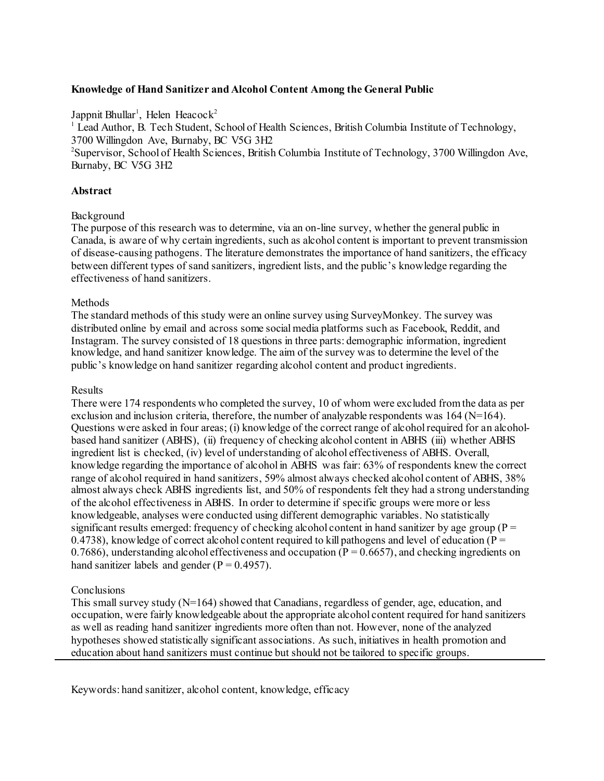## **Knowledge of Hand Sanitizer and Alcohol Content Among the General Public**

Jappnit Bhullar<sup>1</sup>, Helen Heacock<sup>2</sup>

 $<sup>1</sup>$  Lead Author, B. Tech Student, School of Health Sciences, British Columbia Institute of Technology,</sup> 3700 Willingdon Ave, Burnaby, BC V5G 3H2

<sup>2</sup>Supervisor, School of Health Sciences, British Columbia Institute of Technology, 3700 Willingdon Ave, Burnaby, BC V5G 3H2

### **Abstract**

### Background

The purpose of this research was to determine, via an on-line survey, whether the general public in Canada, is aware of why certain ingredients, such as alcohol content is important to prevent transmission of disease-causing pathogens. The literature demonstrates the importance of hand sanitizers, the efficacy between different types of sand sanitizers, ingredient lists, and the public's knowledge regarding the effectiveness of hand sanitizers.

### **Methods**

The standard methods of this study were an online survey using SurveyMonkey. The survey was distributed online by email and across some social media platforms such as Facebook, Reddit, and Instagram. The survey consisted of 18 questions in three parts: demographic information, ingredient knowledge, and hand sanitizer knowledge. The aim of the survey was to determine the level of the public's knowledge on hand sanitizer regarding alcohol content and product ingredients.

### Results

There were 174 respondents who completed the survey, 10 of whom were excluded from the data as per exclusion and inclusion criteria, therefore, the number of analyzable respondents was  $164$  (N=164). Questions were asked in four areas; (i) knowledge of the correct range of alcohol required for an alcoholbased hand sanitizer (ABHS), (ii) frequency of checking alcohol content in ABHS (iii) whether ABHS ingredient list is checked, (iv) level of understanding of alcohol effectiveness of ABHS. Overall, knowledge regarding the importance of alcohol in ABHS was fair: 63% of respondents knew the correct range of alcohol required in hand sanitizers, 59% almost always checked alcohol content of ABHS, 38% almost always check ABHS ingredients list, and 50% of respondents felt they had a strong understanding of the alcohol effectiveness in ABHS. In order to determine if specific groups were more or less knowledgeable, analyses were conducted using different demographic variables. No statistically significant results emerged: frequency of checking alcohol content in hand sanitizer by age group ( $P =$ 0.4738), knowledge of correct alcohol content required to kill pathogens and level of education ( $P =$ 0.7686), understanding alcohol effectiveness and occupation ( $P = 0.6657$ ), and checking ingredients on hand sanitizer labels and gender  $(P = 0.4957)$ .

### **Conclusions**

This small survey study (N=164) showed that Canadians, regardless of gender, age, education, and occupation, were fairly knowledgeable about the appropriate alcohol content required for hand sanitizers as well as reading hand sanitizer ingredients more often than not. However, none of the analyzed hypotheses showed statistically significant associations. As such, initiatives in health promotion and education about hand sanitizers must continue but should not be tailored to specific groups.

Keywords: hand sanitizer, alcohol content, knowledge, efficacy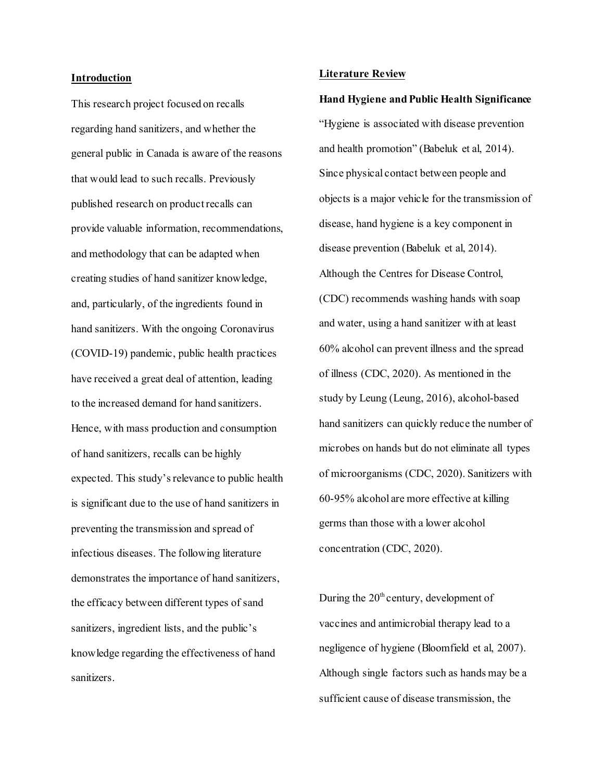#### **Introduction**

This research project focused on recalls regarding hand sanitizers, and whether the general public in Canada is aware of the reasons that would lead to such recalls. Previously published research on product recalls can provide valuable information, recommendations, and methodology that can be adapted when creating studies of hand sanitizer knowledge, and, particularly, of the ingredients found in hand sanitizers. With the ongoing Coronavirus (COVID-19) pandemic, public health practices have received a great deal of attention, leading to the increased demand for hand sanitizers. Hence, with mass production and consumption of hand sanitizers, recalls can be highly expected. This study's relevance to public health is significant due to the use of hand sanitizers in preventing the transmission and spread of infectious diseases. The following literature demonstrates the importance of hand sanitizers, the efficacy between different types of sand sanitizers, ingredient lists, and the public's knowledge regarding the effectiveness of hand sanitizers.

#### **Literature Review**

**Hand Hygiene and Public Health Significance**  "Hygiene is associated with disease prevention and health promotion" (Babeluk et al, 2014). Since physical contact between people and objects is a major vehicle for the transmission of disease, hand hygiene is a key component in disease prevention (Babeluk et al, 2014). Although the Centres for Disease Control, (CDC) recommends washing hands with soap and water, using a hand sanitizer with at least 60% alcohol can prevent illness and the spread of illness (CDC, 2020). As mentioned in the study by Leung (Leung, 2016), alcohol-based hand sanitizers can quickly reduce the number of microbes on hands but do not eliminate all types of microorganisms (CDC, 2020). Sanitizers with 60-95% alcohol are more effective at killing germs than those with a lower alcohol concentration (CDC, 2020).

During the  $20<sup>th</sup>$  century, development of vaccines and antimicrobial therapy lead to a negligence of hygiene (Bloomfield et al, 2007). Although single factors such as hands may be a sufficient cause of disease transmission, the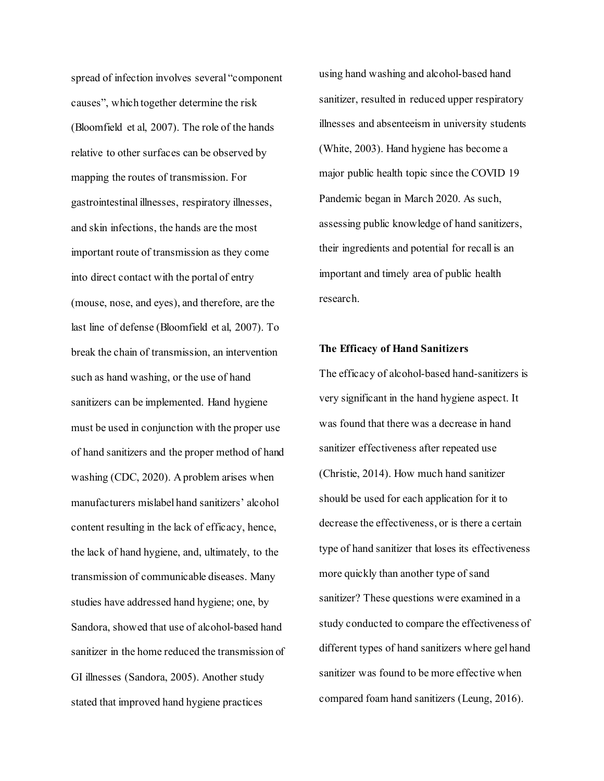spread of infection involves several "component causes", which together determine the risk (Bloomfield et al, 2007). The role of the hands relative to other surfaces can be observed by mapping the routes of transmission. For gastrointestinal illnesses, respiratory illnesses, and skin infections, the hands are the most important route of transmission as they come into direct contact with the portal of entry (mouse, nose, and eyes), and therefore, are the last line of defense (Bloomfield et al, 2007). To break the chain of transmission, an intervention such as hand washing, or the use of hand sanitizers can be implemented. Hand hygiene must be used in conjunction with the proper use of hand sanitizers and the proper method of hand washing (CDC, 2020). A problem arises when manufacturers mislabel hand sanitizers' alcohol content resulting in the lack of efficacy, hence, the lack of hand hygiene, and, ultimately, to the transmission of communicable diseases. Many studies have addressed hand hygiene; one, by Sandora, showed that use of alcohol-based hand sanitizer in the home reduced the transmission of GI illnesses (Sandora, 2005). Another study stated that improved hand hygiene practices

using hand washing and alcohol-based hand sanitizer, resulted in reduced upper respiratory illnesses and absenteeism in university students (White, 2003). Hand hygiene has become a major public health topic since the COVID 19 Pandemic began in March 2020. As such, assessing public knowledge of hand sanitizers, their ingredients and potential for recall is an important and timely area of public health research.

### **The Efficacy of Hand Sanitizers**

The efficacy of alcohol-based hand-sanitizers is very significant in the hand hygiene aspect. It was found that there was a decrease in hand sanitizer effectiveness after repeated use (Christie, 2014). How much hand sanitizer should be used for each application for it to decrease the effectiveness, or is there a certain type of hand sanitizer that loses its effectiveness more quickly than another type of sand sanitizer? These questions were examined in a study conducted to compare the effectiveness of different types of hand sanitizers where gel hand sanitizer was found to be more effective when compared foam hand sanitizers (Leung, 2016).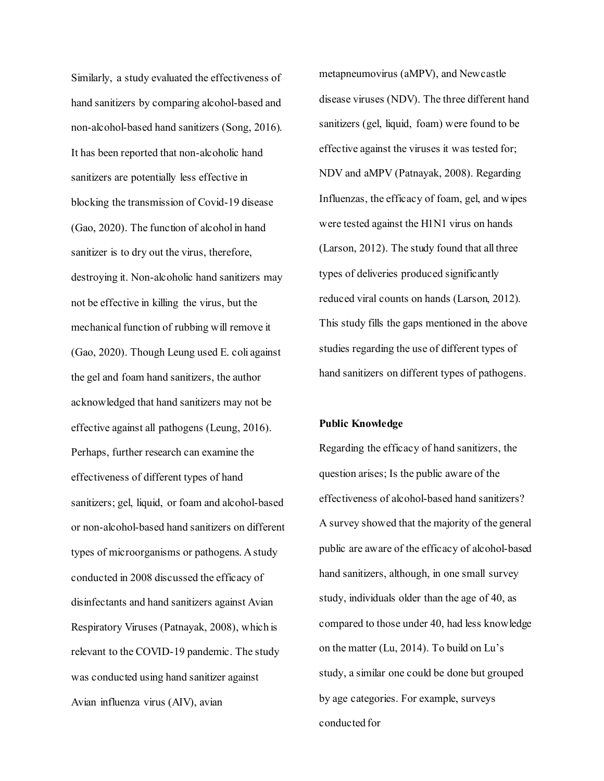Similarly, a study evaluated the effectiveness of hand sanitizers by comparing alcohol-based and non-alcohol-based hand sanitizers (Song, 2016). It has been reported that non-alcoholic hand sanitizers are potentially less effective in blocking the transmission of Covid-19 disease (Gao, 2020). The function of alcohol in hand sanitizer is to dry out the virus, therefore, destroying it. Non-alcoholic hand sanitizers may not be effective in killing the virus, but the mechanical function of rubbing will remove it (Gao, 2020). Though Leung used E. coli against the gel and foam hand sanitizers, the author acknowledged that hand sanitizers may not be effective against all pathogens (Leung, 2016). Perhaps, further research can examine the effectiveness of different types of hand sanitizers; gel, liquid, or foam and alcohol-based or non-alcohol-based hand sanitizers on different types of microorganisms or pathogens. A study conducted in 2008 discussed the efficacy of disinfectants and hand sanitizers against Avian Respiratory Viruses (Patnayak, 2008), which is relevant to the COVID-19 pandemic. The study was conducted using hand sanitizer against Avian influenza virus (AIV), avian

metapneumovirus (aMPV), and Newcastle disease viruses (NDV). The three different hand sanitizers (gel, liquid, foam) were found to be effective against the viruses it was tested for; NDV and aMPV (Patnayak, 2008). Regarding Influenzas, the efficacy of foam, gel, and wipes were tested against the H1N1 virus on hands (Larson, 2012). The study found that all three types of deliveries produced significantly reduced viral counts on hands (Larson, 2012). This study fills the gaps mentioned in the above studies regarding the use of different types of hand sanitizers on different types of pathogens.

### **Public Knowledge**

Regarding the efficacy of hand sanitizers, the question arises; Is the public aware of the effectiveness of alcohol-based hand sanitizers? A survey showed that the majority of the general public are aware of the efficacy of alcohol-based hand sanitizers, although, in one small survey study, individuals older than the age of 40, as compared to those under 40, had less knowledge on the matter (Lu, 2014). To build on Lu's study, a similar one could be done but grouped by age categories. For example, surveys conducted for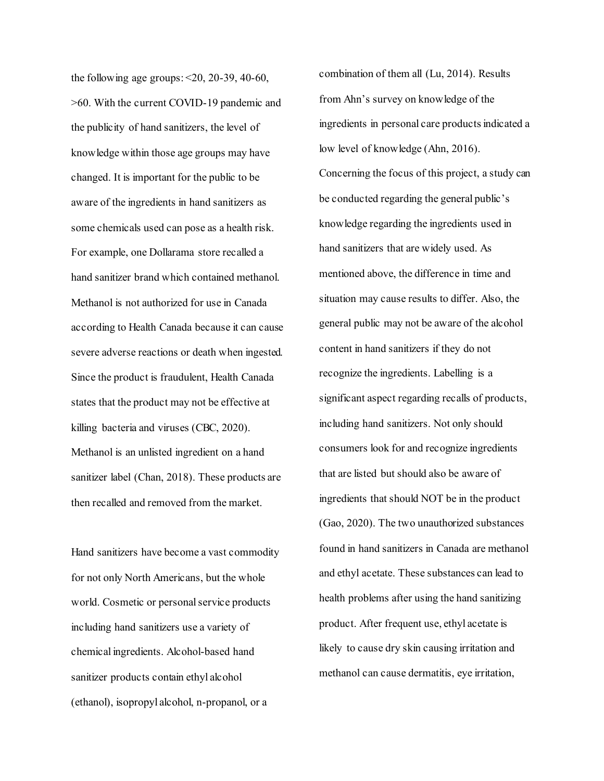the following age groups:  $\leq 20$ , 20-39, 40-60, >60. With the current COVID-19 pandemic and the publicity of hand sanitizers, the level of knowledge within those age groups may have changed. It is important for the public to be aware of the ingredients in hand sanitizers as some chemicals used can pose as a health risk. For example, one Dollarama store recalled a hand sanitizer brand which contained methanol. Methanol is not authorized for use in Canada according to Health Canada because it can cause severe adverse reactions or death when ingested. Since the product is fraudulent, Health Canada states that the product may not be effective at killing bacteria and viruses (CBC, 2020). Methanol is an unlisted ingredient on a hand sanitizer label (Chan, 2018). These products are then recalled and removed from the market.

Hand sanitizers have become a vast commodity for not only North Americans, but the whole world. Cosmetic or personal service products including hand sanitizers use a variety of chemical ingredients. Alcohol-based hand sanitizer products contain ethyl alcohol (ethanol), isopropyl alcohol, n-propanol, or a

combination of them all (Lu, 2014). Results from Ahn's survey on knowledge of the ingredients in personal care products indicated a low level of knowledge (Ahn, 2016). Concerning the focus of this project, a study can be conducted regarding the general public's knowledge regarding the ingredients used in hand sanitizers that are widely used. As mentioned above, the difference in time and situation may cause results to differ. Also, the general public may not be aware of the alcohol content in hand sanitizers if they do not recognize the ingredients. Labelling is a significant aspect regarding recalls of products, including hand sanitizers. Not only should consumers look for and recognize ingredients that are listed but should also be aware of ingredients that should NOT be in the product (Gao, 2020). The two unauthorized substances found in hand sanitizers in Canada are methanol and ethyl acetate. These substances can lead to health problems after using the hand sanitizing product. After frequent use, ethyl acetate is likely to cause dry skin causing irritation and methanol can cause dermatitis, eye irritation,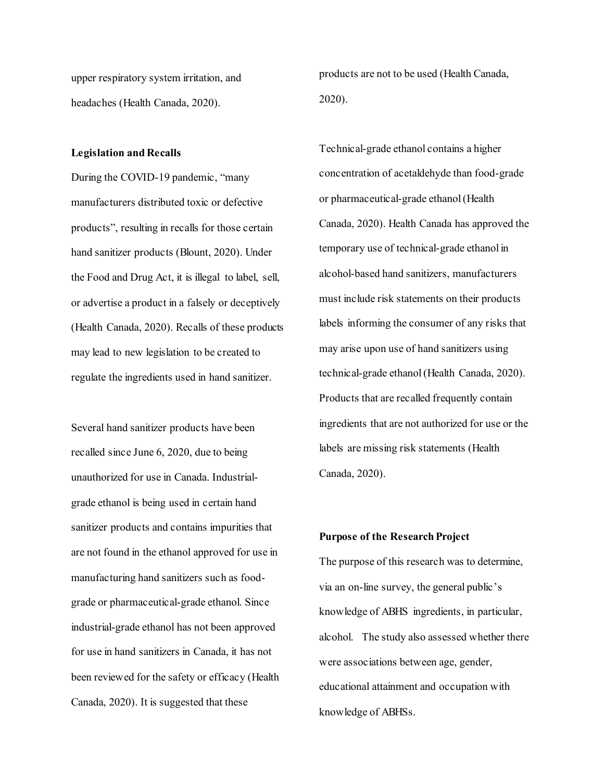upper respiratory system irritation, and headaches (Health Canada, 2020).

products are not to be used (Health Canada, 2020).

## **Legislation and Recalls**

During the COVID-19 pandemic, "many manufacturers distributed toxic or defective products", resulting in recalls for those certain hand sanitizer products (Blount, 2020). Under the Food and Drug Act, it is illegal to label, sell, or advertise a product in a falsely or deceptively (Health Canada, 2020). Recalls of these products may lead to new legislation to be created to regulate the ingredients used in hand sanitizer.

Several hand sanitizer products have been recalled since June 6, 2020, due to being unauthorized for use in Canada. Industrialgrade ethanol is being used in certain hand sanitizer products and contains impurities that are not found in the ethanol approved for use in manufacturing hand sanitizers such as foodgrade or pharmaceutical-grade ethanol. Since industrial-grade ethanol has not been approved for use in hand sanitizers in Canada, it has not been reviewed for the safety or efficacy (Health Canada, 2020). It is suggested that these

Technical-grade ethanol contains a higher concentration of acetaldehyde than food-grade or pharmaceutical-grade ethanol (Health Canada, 2020). Health Canada has approved the temporary use of technical-grade ethanol in alcohol-based hand sanitizers, manufacturers must include risk statements on their products labels informing the consumer of any risks that may arise upon use of hand sanitizers using technical-grade ethanol (Health Canada, 2020). Products that are recalled frequently contain ingredients that are not authorized for use or the labels are missing risk statements (Health Canada, 2020).

### **Purpose of the Research Project**

The purpose of this research was to determine, via an on-line survey, the general public's knowledge of ABHS ingredients, in particular, alcohol. The study also assessed whether there were associations between age, gender, educational attainment and occupation with knowledge of ABHSs.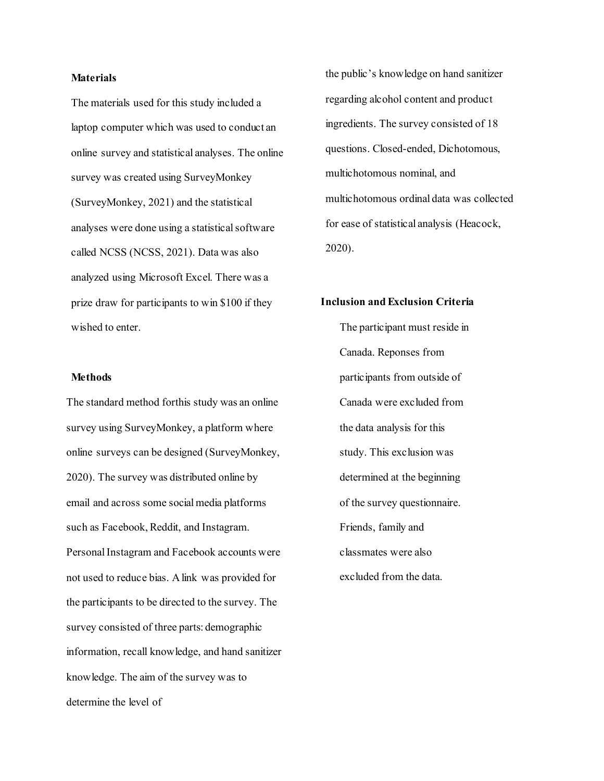## **Materials**

The materials used for this study included a laptop computer which was used to conduct an online survey and statistical analyses. The online survey was created using SurveyMonkey (SurveyMonkey, 2021) and the statistical analyses were done using a statistical software called NCSS (NCSS, 2021). Data was also analyzed using Microsoft Excel. There was a prize draw for participants to win \$100 if they wished to enter.

### **Methods**

The standard method forthis study was an online survey using SurveyMonkey, a platform where online surveys can be designed (SurveyMonkey, 2020). The survey was distributed online by email and across some social media platforms such as Facebook, Reddit, and Instagram. Personal Instagram and Facebook accounts were not used to reduce bias. A link was provided for the participants to be directed to the survey. The survey consisted of three parts: demographic information, recall knowledge, and hand sanitizer knowledge. The aim of the survey was to determine the level of

the public's knowledge on hand sanitizer regarding alcohol content and product ingredients. The survey consisted of 18 questions. Closed-ended, Dichotomous, multichotomous nominal, and multichotomous ordinal data was collected for ease of statistical analysis (Heacock, 2020).

## **Inclusion and Exclusion Criteria**

The participant must reside in Canada. Reponses from participants from outside of Canada were excluded from the data analysis for this study. This exclusion was determined at the beginning of the survey questionnaire. Friends, family and classmates were also excluded from the data.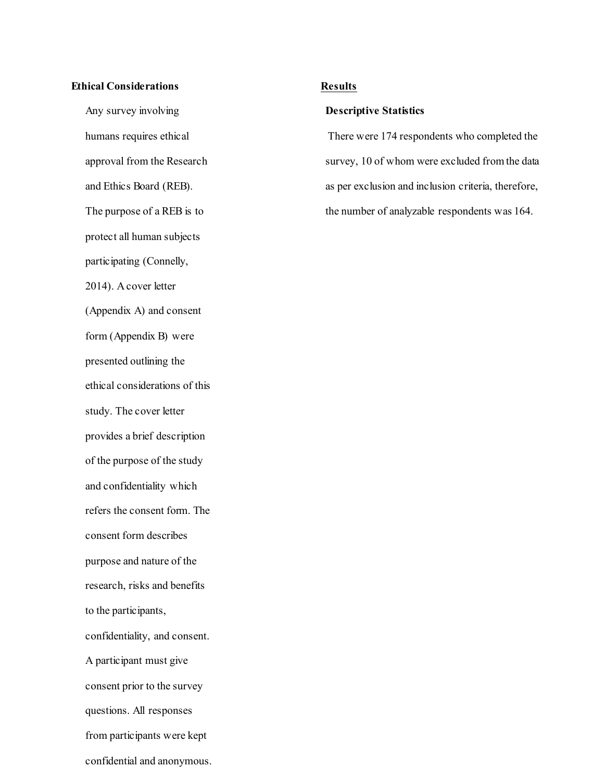## **Ethical Considerations**

Any survey involving humans requires ethical approval from the Research and Ethics Board (REB). The purpose of a REB is to protect all human subjects participating (Connelly, 2014). A cover letter (Appendix A) and consent form (Appendix B) were presented outlining the ethical considerations of this study. The cover letter provides a brief description of the purpose of the study and confidentiality which refers the consent form. The consent form describes purpose and nature of the research, risks and benefits to the participants, confidentiality, and consent. A participant must give consent prior to the survey questions. All responses from participants were kept confidential and anonymous.

## **Results**

## **Descriptive Statistics**

There were 174 respondents who completed the survey, 10 of whom were excluded from the data as per exclusion and inclusion criteria, therefore, the number of analyzable respondents was 164.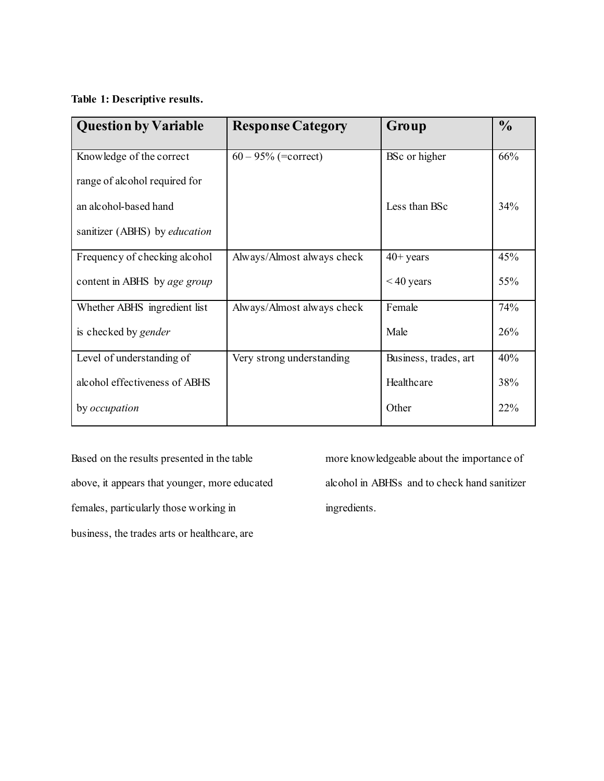# **Table 1: Descriptive results.**

| <b>Question by Variable</b>          | <b>Response Category</b>   | Group                 | $\frac{0}{0}$ |
|--------------------------------------|----------------------------|-----------------------|---------------|
| Knowledge of the correct             | $60 - 95\%$ (=correct)     | BSc or higher         | 66%           |
| range of alcohol required for        |                            |                       |               |
| an alcohol-based hand                |                            | Less than BSc         | 34%           |
| sanitizer (ABHS) by <i>education</i> |                            |                       |               |
| Frequency of checking alcohol        | Always/Almost always check | $40+$ years           | 45%           |
| content in ABHS by age group         |                            | $< 40$ years          | 55%           |
| Whether ABHS ingredient list         | Always/Almost always check | Female                | 74%           |
| is checked by <i>gender</i>          |                            | Male                  | 26%           |
| Level of understanding of            | Very strong understanding  | Business, trades, art | 40%           |
| alcohol effectiveness of ABHS        |                            | Healthcare            | 38%           |
| by <i>occupation</i>                 |                            | Other                 | 22%           |

Based on the results presented in the table above, it appears that younger, more educated females, particularly those working in business, the trades arts or healthcare, are

more knowledgeable about the importance of alcohol in ABHSs and to check hand sanitizer ingredients.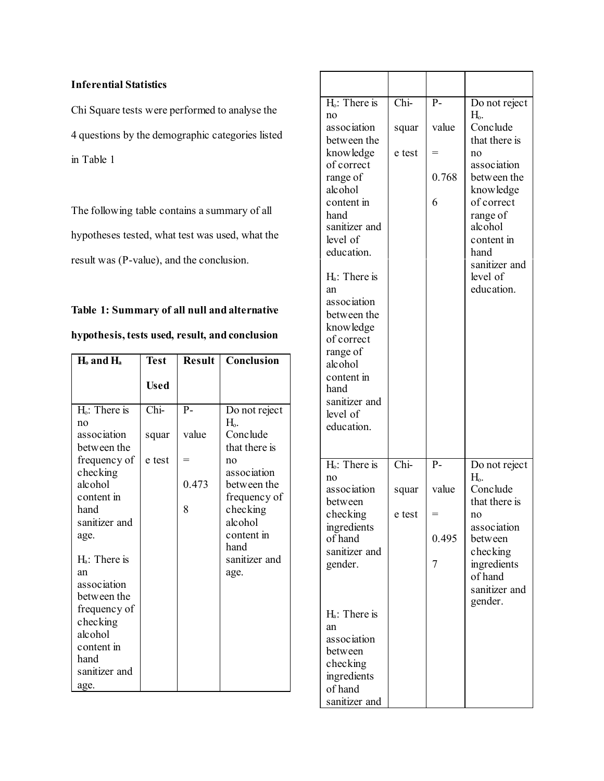# **Inferential Statistics**

Chi Square tests were performed to analyse the 4 questions by the demographic categories listed in Table 1

The following table contains a summary of all hypotheses tested, what test was used, what the result was (P-value), and the conclusion.

# **Table 1: Summary of all null and alternative**

| $H_0$ and $H_a$           | <b>Test</b> |       | <b>Result   Conclusion</b> |
|---------------------------|-------------|-------|----------------------------|
|                           | <b>Used</b> |       |                            |
| H <sub>0</sub> : There is | Chi-        | $P -$ | Do not reject              |
| no                        |             |       | Н.                         |
| association               | squar       | value | Conclude                   |
| between the               |             |       | that there is              |
| frequency of              | e test      |       | no                         |
| checking                  |             |       | association                |
| alcohol                   |             | 0.473 | between the                |
| content in                |             |       | frequency of               |
| hand                      |             | 8     | checking                   |
| sanitizer and             |             |       | alcohol                    |
| age.                      |             |       | content in                 |
|                           |             |       | hand                       |
| $Hi$ : There is           |             |       | sanitizer and              |
| an                        |             |       | age.                       |
| association               |             |       |                            |
| between the               |             |       |                            |
| frequency of              |             |       |                            |
| checking                  |             |       |                            |
| alcohol                   |             |       |                            |
| content in                |             |       |                            |
| hand                      |             |       |                            |
| sanitizer and             |             |       |                            |
| age.                      |             |       |                            |

**hypothesis, tests used, result, and conclusion**

| $Ho$ : There is<br>no<br>association<br>between the<br>knowledge<br>of correct<br>range of<br>alcohol<br>content in<br>hand<br>sanitizer and<br>level of<br>education.<br>H <sub>a</sub> : There is<br>an<br>association<br>between the<br>knowledge<br>of correct<br>range of<br>alcohol<br>content in<br>hand<br>sanitizer and<br>level of<br>education. | Chi-<br>squar<br>e test                    | $P -$<br>value<br>0.768<br>6 | Do not reject<br>Н.<br>Conclude<br>that there is<br>no<br>association<br>between the<br>knowledge<br>of correct<br>range of<br>alcohol<br>content in<br>hand<br>sanitizer and<br>level of<br>education. |
|------------------------------------------------------------------------------------------------------------------------------------------------------------------------------------------------------------------------------------------------------------------------------------------------------------------------------------------------------------|--------------------------------------------|------------------------------|---------------------------------------------------------------------------------------------------------------------------------------------------------------------------------------------------------|
| H <sub>o</sub> : There is<br>no<br>association<br>between<br>checking<br>ingredients<br>of hand<br>sanitizer and<br>gender.<br>$H_a$ : There is<br>an<br>association<br>between<br>checking<br>ingredients<br>of hand<br>sanitizer and                                                                                                                     | $\overline{\text{Chi}}$<br>squar<br>e test | $P -$<br>value<br>0.495<br>7 | Do not reject<br>$H_{\rm o}$ .<br>Conclude<br>that there is<br>no<br>association<br>between<br>checking<br>ingredients<br>of hand<br>sanitizer and<br>gender.                                           |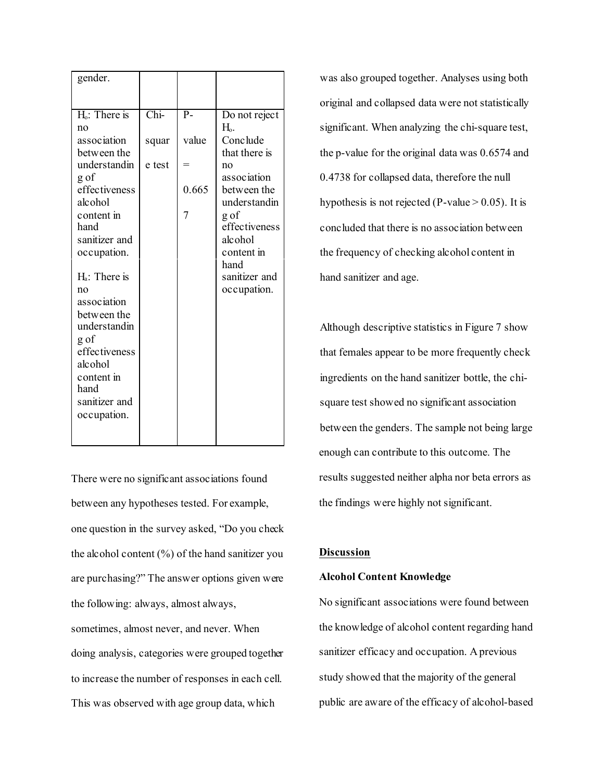There were no significant associations found between any hypotheses tested. For example, one question in the survey asked, "Do you check the alcohol content  $(\%)$  of the hand sanitizer you are purchasing?" The answer options given were the following: always, almost always, sometimes, almost never, and never. When doing analysis, categories were grouped together to increase the number of responses in each cell. This was observed with age group data, which

was also grouped together. Analyses using both original and collapsed data were not statistically significant. When analyzing the chi-square test, the p-value for the original data was 0.6574 and 0.4738 for collapsed data, therefore the null hypothesis is not rejected (P-value  $> 0.05$ ). It is concluded that there is no association between the frequency of checking alcohol content in hand sanitizer and age.

Although descriptive statistics in Figure 7 show that females appear to be more frequently check ingredients on the hand sanitizer bottle, the chisquare test showed no significant association between the genders. The sample not being large enough can contribute to this outcome. The results suggested neither alpha nor beta errors as the findings were highly not significant.

## **Discussion**

### **Alcohol Content Knowledge**

No significant associations were found between the knowledge of alcohol content regarding hand sanitizer efficacy and occupation. A previous study showed that the majority of the general public are aware of the efficacy of alcohol-based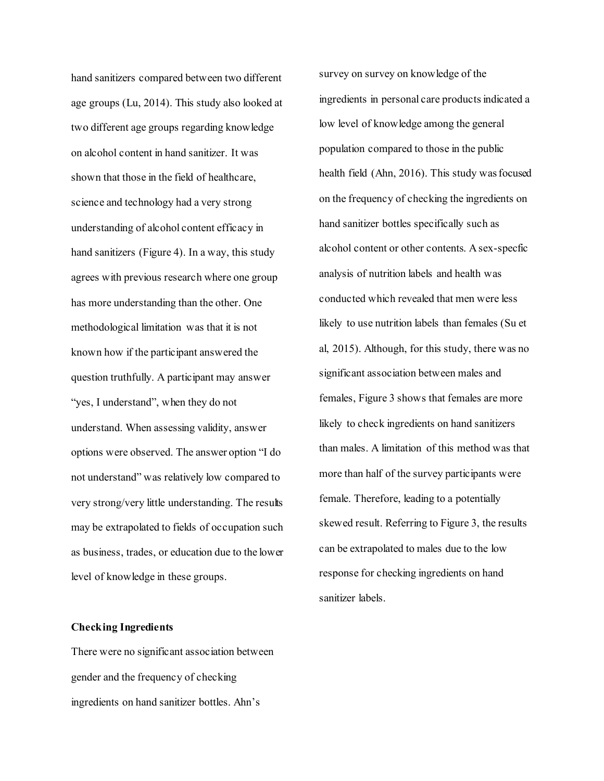hand sanitizers compared between two different age groups (Lu, 2014). This study also looked at two different age groups regarding knowledge on alcohol content in hand sanitizer. It was shown that those in the field of healthcare, science and technology had a very strong understanding of alcohol content efficacy in hand sanitizers (Figure 4). In a way, this study agrees with previous research where one group has more understanding than the other. One methodological limitation was that it is not known how if the participant answered the question truthfully. A participant may answer "yes, I understand", when they do not understand. When assessing validity, answer options were observed. The answer option "I do not understand" was relatively low compared to very strong/very little understanding. The results may be extrapolated to fields of occupation such as business, trades, or education due to the lower level of knowledge in these groups.

### **Checking Ingredients**

There were no significant association between gender and the frequency of checking ingredients on hand sanitizer bottles. Ahn's

survey on survey on knowledge of the ingredients in personal care products indicated a low level of knowledge among the general population compared to those in the public health field (Ahn, 2016). This study wasfocused on the frequency of checking the ingredients on hand sanitizer bottles specifically such as alcohol content or other contents. A sex-specfic analysis of nutrition labels and health was conducted which revealed that men were less likely to use nutrition labels than females (Su et al, 2015). Although, for this study, there was no significant association between males and females, Figure 3 shows that females are more likely to check ingredients on hand sanitizers than males. A limitation of this method was that more than half of the survey participants were female. Therefore, leading to a potentially skewed result. Referring to Figure 3, the results can be extrapolated to males due to the low response for checking ingredients on hand sanitizer labels.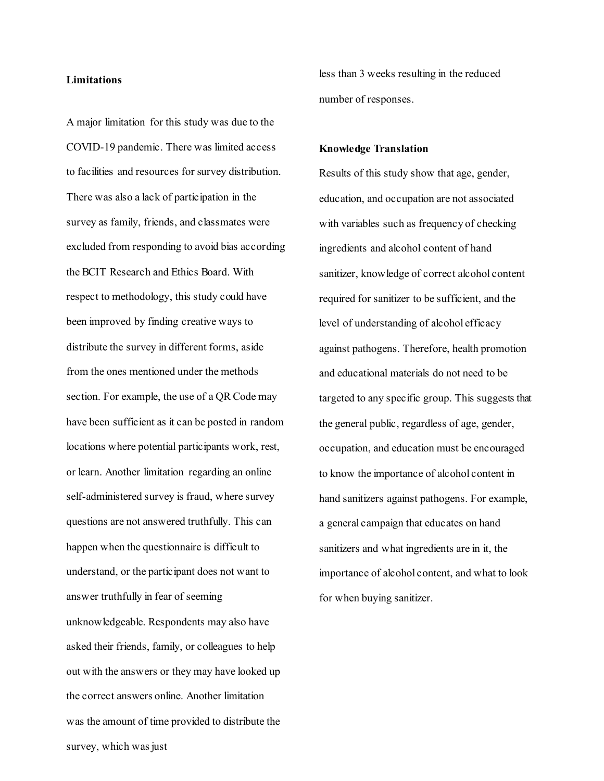### **Limitations**

A major limitation for this study was due to the COVID-19 pandemic. There was limited access to facilities and resources for survey distribution. There was also a lack of participation in the survey as family, friends, and classmates were excluded from responding to avoid bias according the BCIT Research and Ethics Board. With respect to methodology, this study could have been improved by finding creative ways to distribute the survey in different forms, aside from the ones mentioned under the methods section. For example, the use of a QR Code may have been sufficient as it can be posted in random locations where potential participants work, rest, or learn. Another limitation regarding an online self-administered survey is fraud, where survey questions are not answered truthfully. This can happen when the questionnaire is difficult to understand, or the participant does not want to answer truthfully in fear of seeming unknowledgeable. Respondents may also have asked their friends, family, or colleagues to help out with the answers or they may have looked up the correct answers online. Another limitation was the amount of time provided to distribute the survey, which was just

less than 3 weeks resulting in the reduced number of responses.

#### **Knowledge Translation**

Results of this study show that age, gender, education, and occupation are not associated with variables such as frequency of checking ingredients and alcohol content of hand sanitizer, knowledge of correct alcohol content required for sanitizer to be sufficient, and the level of understanding of alcohol efficacy against pathogens. Therefore, health promotion and educational materials do not need to be targeted to any specific group. This suggests that the general public, regardless of age, gender, occupation, and education must be encouraged to know the importance of alcohol content in hand sanitizers against pathogens. For example, a general campaign that educates on hand sanitizers and what ingredients are in it, the importance of alcohol content, and what to look for when buying sanitizer.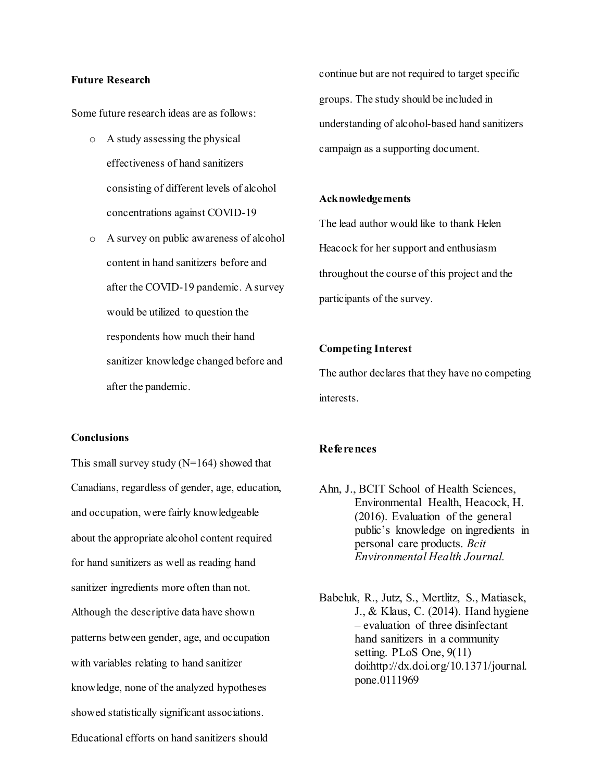### **Future Research**

Some future research ideas are as follows:

- o A study assessing the physical effectiveness of hand sanitizers consisting of different levels of alcohol concentrations against COVID-19
- o A survey on public awareness of alcohol content in hand sanitizers before and after the COVID-19 pandemic. Asurvey would be utilized to question the respondents how much their hand sanitizer knowledge changed before and after the pandemic.

**Conclusions**

This small survey study  $(N=164)$  showed that Canadians, regardless of gender, age, education, and occupation, were fairly knowledgeable about the appropriate alcohol content required for hand sanitizers as well as reading hand sanitizer ingredients more often than not. Although the descriptive data have shown patterns between gender, age, and occupation with variables relating to hand sanitizer knowledge, none of the analyzed hypotheses showed statistically significant associations. Educational efforts on hand sanitizers should

continue but are not required to target specific groups. The study should be included in understanding of alcohol-based hand sanitizers campaign as a supporting document.

### **Acknowledgements**

The lead author would like to thank Helen Heacock for her support and enthusiasm throughout the course of this project and the participants of the survey.

## **Competing Interest**

The author declares that they have no competing interests.

### **References**

- Ahn, J., BCIT School of Health Sciences, Environmental Health, Heacock, H. (2016). Evaluation of the general public's knowledge on ingredients in personal care products. *Bcit Environmental Health Journal.*
- Babeluk, R., Jutz, S., Mertlitz, S., Matiasek, J., & Klaus, C. (2014). Hand hygiene – evaluation of three disinfectant hand sanitizers in a community setting. PLoS One, 9(11) doi[:http://dx.doi.org/10.1371/journal.](http://dx.doi.org/10.1371/journal) pone.0111969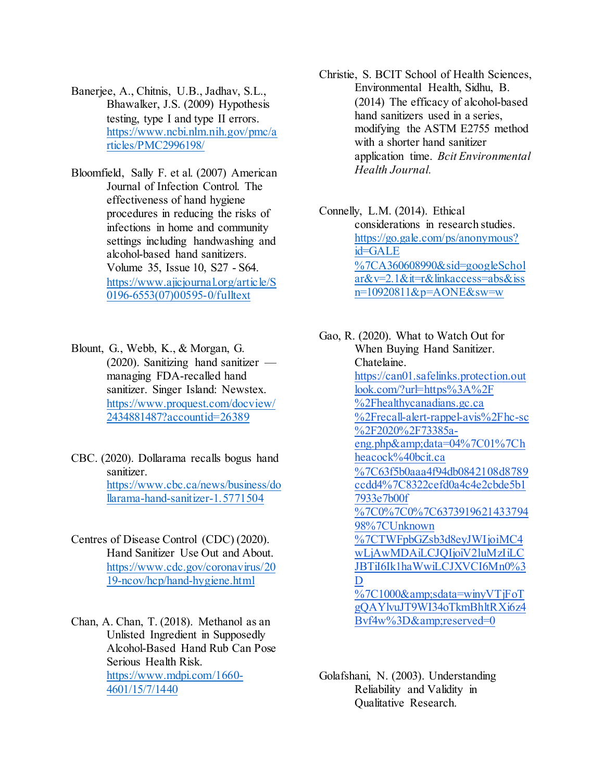- Banerjee, A., Chitnis, U.B., Jadhav, S.L., Bhawalker, J.S. (2009) Hypothesis testing, type I and type II errors. [https://www.ncbi.nlm.nih.gov/pmc/a](https://www.ncbi.nlm.nih.gov/pmc/articles/PMC2996198/) [rticles/PMC2996198/](https://www.ncbi.nlm.nih.gov/pmc/articles/PMC2996198/)
- Bloomfield, Sally F. et al. (2007) American Journal of Infection Control. The effectiveness of hand hygiene procedures in reducing the risks of infections in home and community settings including handwashing and alcohol-based hand sanitizers. Volume 35, Issue 10, S27 - S64. [https://www.ajicjournal.org/article/S](https://www.ajicjournal.org/article/S0196-6553(07)00595-0/fulltext) [0196-6553\(07\)00595-0/fulltext](https://www.ajicjournal.org/article/S0196-6553(07)00595-0/fulltext)
- Blount, G., Webb, K., & Morgan, G. (2020). Sanitizing hand sanitizer managing FDA-recalled hand sanitizer. Singer Island: Newstex. [https://www.proquest.com/docview/](https://www.proquest.com/docview/2434881487?accountid=26389) [2434881487?accountid=26389](https://www.proquest.com/docview/2434881487?accountid=26389)
- CBC. (2020). Dollarama recalls bogus hand sanitizer. [https://www.cbc.ca/news/business/do](https://www.cbc.ca/news/business/dollarama-hand-sanitizer-1.5771504) [llarama-hand-sanitizer-1.5771504](https://www.cbc.ca/news/business/dollarama-hand-sanitizer-1.5771504)
- Centres of Disease Control (CDC) (2020). Hand Sanitizer Use Out and About. [https://www.cdc.gov/coronavirus/20](https://www.cdc.gov/coronavirus/2019-ncov/hcp/hand-hygiene.html) [19-ncov/hcp/hand-hygiene.html](https://www.cdc.gov/coronavirus/2019-ncov/hcp/hand-hygiene.html)
- Chan, A. Chan, T. (2018). Methanol as an Unlisted Ingredient in Supposedly Alcohol-Based Hand Rub Can Pose Serious Health Risk. [https://www.mdpi.com/1660-](https://www.mdpi.com/1660-4601/15/7/1440) [4601/15/7/1440](https://www.mdpi.com/1660-4601/15/7/1440)
- Christie, S. BCIT School of Health Sciences, Environmental Health, Sidhu, B. (2014) The efficacy of alcohol-based hand sanitizers used in a series, modifying the ASTM E2755 method with a shorter hand sanitizer application time. *Bcit Environmental Health Journal.*
- Connelly, L.M. (2014). Ethical considerations in research studies. [https://go.gale.com/ps/anonymous?](https://go.gale.com/ps/anonymous?id=GALE%7CA360608990&sid=googleScholar&v=2.1&it=r&linkaccess=abs&issn=10920811&p=AONE&sw=w) [id=GALE](https://go.gale.com/ps/anonymous?id=GALE%7CA360608990&sid=googleScholar&v=2.1&it=r&linkaccess=abs&issn=10920811&p=AONE&sw=w) [%7CA360608990&sid=googleSchol](https://go.gale.com/ps/anonymous?id=GALE%7CA360608990&sid=googleScholar&v=2.1&it=r&linkaccess=abs&issn=10920811&p=AONE&sw=w) [ar&v=2.1&it=r&linkaccess=abs&iss](https://go.gale.com/ps/anonymous?id=GALE%7CA360608990&sid=googleScholar&v=2.1&it=r&linkaccess=abs&issn=10920811&p=AONE&sw=w) [n=10920811&p=AONE&sw=w](https://go.gale.com/ps/anonymous?id=GALE%7CA360608990&sid=googleScholar&v=2.1&it=r&linkaccess=abs&issn=10920811&p=AONE&sw=w)

Gao, R. (2020). What to Watch Out for When Buying Hand Sanitizer. Chatelaine. [https://can01.safelinks.protection.out](https://can01.safelinks.protection.outlook.com/?url=https%3A%2F%2Fhealthycanadians.gc.ca%2Frecall-alert-rappel-avis%2Fhc-sc%2F2020%2F73385a-eng.php&amp%3Bdata=04%7C01%7Chheacock%40bcit.ca%7C63f5b0aaa4f94db0842108d8789ccdd4%7C8322cefd0a4c4e2cbde5b17933e7b00f%7C0%7C0%7C637391962143379498%7CUnknown%7CTWFpbGZsb3d8eyJWIjoiMC4wLjAwMDAiLCJQIjoiV2luMzIiLCJBTiI6Ik1haWwiLCJXVCI6Mn0%3D%7C1000&amp%3Bsdata=winyVTjFoTgQAYlvuJT9WI34oTkmBhltRXi6z4Bvf4w%3D&amp%3Breserved=0) [look.com/?url=https%3A%2F](https://can01.safelinks.protection.outlook.com/?url=https%3A%2F%2Fhealthycanadians.gc.ca%2Frecall-alert-rappel-avis%2Fhc-sc%2F2020%2F73385a-eng.php&amp%3Bdata=04%7C01%7Chheacock%40bcit.ca%7C63f5b0aaa4f94db0842108d8789ccdd4%7C8322cefd0a4c4e2cbde5b17933e7b00f%7C0%7C0%7C637391962143379498%7CUnknown%7CTWFpbGZsb3d8eyJWIjoiMC4wLjAwMDAiLCJQIjoiV2luMzIiLCJBTiI6Ik1haWwiLCJXVCI6Mn0%3D%7C1000&amp%3Bsdata=winyVTjFoTgQAYlvuJT9WI34oTkmBhltRXi6z4Bvf4w%3D&amp%3Breserved=0) [%2Fhealthycanadians.gc.ca](https://can01.safelinks.protection.outlook.com/?url=https%3A%2F%2Fhealthycanadians.gc.ca%2Frecall-alert-rappel-avis%2Fhc-sc%2F2020%2F73385a-eng.php&amp%3Bdata=04%7C01%7Chheacock%40bcit.ca%7C63f5b0aaa4f94db0842108d8789ccdd4%7C8322cefd0a4c4e2cbde5b17933e7b00f%7C0%7C0%7C637391962143379498%7CUnknown%7CTWFpbGZsb3d8eyJWIjoiMC4wLjAwMDAiLCJQIjoiV2luMzIiLCJBTiI6Ik1haWwiLCJXVCI6Mn0%3D%7C1000&amp%3Bsdata=winyVTjFoTgQAYlvuJT9WI34oTkmBhltRXi6z4Bvf4w%3D&amp%3Breserved=0) [%2Frecall-alert-rappel-avis%2Fhc-sc](https://can01.safelinks.protection.outlook.com/?url=https%3A%2F%2Fhealthycanadians.gc.ca%2Frecall-alert-rappel-avis%2Fhc-sc%2F2020%2F73385a-eng.php&amp%3Bdata=04%7C01%7Chheacock%40bcit.ca%7C63f5b0aaa4f94db0842108d8789ccdd4%7C8322cefd0a4c4e2cbde5b17933e7b00f%7C0%7C0%7C637391962143379498%7CUnknown%7CTWFpbGZsb3d8eyJWIjoiMC4wLjAwMDAiLCJQIjoiV2luMzIiLCJBTiI6Ik1haWwiLCJXVCI6Mn0%3D%7C1000&amp%3Bsdata=winyVTjFoTgQAYlvuJT9WI34oTkmBhltRXi6z4Bvf4w%3D&amp%3Breserved=0) [%2F2020%2F73385a](https://can01.safelinks.protection.outlook.com/?url=https%3A%2F%2Fhealthycanadians.gc.ca%2Frecall-alert-rappel-avis%2Fhc-sc%2F2020%2F73385a-eng.php&amp%3Bdata=04%7C01%7Chheacock%40bcit.ca%7C63f5b0aaa4f94db0842108d8789ccdd4%7C8322cefd0a4c4e2cbde5b17933e7b00f%7C0%7C0%7C637391962143379498%7CUnknown%7CTWFpbGZsb3d8eyJWIjoiMC4wLjAwMDAiLCJQIjoiV2luMzIiLCJBTiI6Ik1haWwiLCJXVCI6Mn0%3D%7C1000&amp%3Bsdata=winyVTjFoTgQAYlvuJT9WI34oTkmBhltRXi6z4Bvf4w%3D&amp%3Breserved=0)[eng.php&data=04%7C01%7Ch](https://can01.safelinks.protection.outlook.com/?url=https%3A%2F%2Fhealthycanadians.gc.ca%2Frecall-alert-rappel-avis%2Fhc-sc%2F2020%2F73385a-eng.php&amp%3Bdata=04%7C01%7Chheacock%40bcit.ca%7C63f5b0aaa4f94db0842108d8789ccdd4%7C8322cefd0a4c4e2cbde5b17933e7b00f%7C0%7C0%7C637391962143379498%7CUnknown%7CTWFpbGZsb3d8eyJWIjoiMC4wLjAwMDAiLCJQIjoiV2luMzIiLCJBTiI6Ik1haWwiLCJXVCI6Mn0%3D%7C1000&amp%3Bsdata=winyVTjFoTgQAYlvuJT9WI34oTkmBhltRXi6z4Bvf4w%3D&amp%3Breserved=0) [heacock%40bcit.ca](https://can01.safelinks.protection.outlook.com/?url=https%3A%2F%2Fhealthycanadians.gc.ca%2Frecall-alert-rappel-avis%2Fhc-sc%2F2020%2F73385a-eng.php&amp%3Bdata=04%7C01%7Chheacock%40bcit.ca%7C63f5b0aaa4f94db0842108d8789ccdd4%7C8322cefd0a4c4e2cbde5b17933e7b00f%7C0%7C0%7C637391962143379498%7CUnknown%7CTWFpbGZsb3d8eyJWIjoiMC4wLjAwMDAiLCJQIjoiV2luMzIiLCJBTiI6Ik1haWwiLCJXVCI6Mn0%3D%7C1000&amp%3Bsdata=winyVTjFoTgQAYlvuJT9WI34oTkmBhltRXi6z4Bvf4w%3D&amp%3Breserved=0) [%7C63f5b0aaa4f94db0842108d8789](https://can01.safelinks.protection.outlook.com/?url=https%3A%2F%2Fhealthycanadians.gc.ca%2Frecall-alert-rappel-avis%2Fhc-sc%2F2020%2F73385a-eng.php&amp%3Bdata=04%7C01%7Chheacock%40bcit.ca%7C63f5b0aaa4f94db0842108d8789ccdd4%7C8322cefd0a4c4e2cbde5b17933e7b00f%7C0%7C0%7C637391962143379498%7CUnknown%7CTWFpbGZsb3d8eyJWIjoiMC4wLjAwMDAiLCJQIjoiV2luMzIiLCJBTiI6Ik1haWwiLCJXVCI6Mn0%3D%7C1000&amp%3Bsdata=winyVTjFoTgQAYlvuJT9WI34oTkmBhltRXi6z4Bvf4w%3D&amp%3Breserved=0) [ccdd4%7C8322cefd0a4c4e2cbde5b1](https://can01.safelinks.protection.outlook.com/?url=https%3A%2F%2Fhealthycanadians.gc.ca%2Frecall-alert-rappel-avis%2Fhc-sc%2F2020%2F73385a-eng.php&amp%3Bdata=04%7C01%7Chheacock%40bcit.ca%7C63f5b0aaa4f94db0842108d8789ccdd4%7C8322cefd0a4c4e2cbde5b17933e7b00f%7C0%7C0%7C637391962143379498%7CUnknown%7CTWFpbGZsb3d8eyJWIjoiMC4wLjAwMDAiLCJQIjoiV2luMzIiLCJBTiI6Ik1haWwiLCJXVCI6Mn0%3D%7C1000&amp%3Bsdata=winyVTjFoTgQAYlvuJT9WI34oTkmBhltRXi6z4Bvf4w%3D&amp%3Breserved=0) [7933e7b00f](https://can01.safelinks.protection.outlook.com/?url=https%3A%2F%2Fhealthycanadians.gc.ca%2Frecall-alert-rappel-avis%2Fhc-sc%2F2020%2F73385a-eng.php&amp%3Bdata=04%7C01%7Chheacock%40bcit.ca%7C63f5b0aaa4f94db0842108d8789ccdd4%7C8322cefd0a4c4e2cbde5b17933e7b00f%7C0%7C0%7C637391962143379498%7CUnknown%7CTWFpbGZsb3d8eyJWIjoiMC4wLjAwMDAiLCJQIjoiV2luMzIiLCJBTiI6Ik1haWwiLCJXVCI6Mn0%3D%7C1000&amp%3Bsdata=winyVTjFoTgQAYlvuJT9WI34oTkmBhltRXi6z4Bvf4w%3D&amp%3Breserved=0) [%7C0%7C0%7C6373919621433794](https://can01.safelinks.protection.outlook.com/?url=https%3A%2F%2Fhealthycanadians.gc.ca%2Frecall-alert-rappel-avis%2Fhc-sc%2F2020%2F73385a-eng.php&amp%3Bdata=04%7C01%7Chheacock%40bcit.ca%7C63f5b0aaa4f94db0842108d8789ccdd4%7C8322cefd0a4c4e2cbde5b17933e7b00f%7C0%7C0%7C637391962143379498%7CUnknown%7CTWFpbGZsb3d8eyJWIjoiMC4wLjAwMDAiLCJQIjoiV2luMzIiLCJBTiI6Ik1haWwiLCJXVCI6Mn0%3D%7C1000&amp%3Bsdata=winyVTjFoTgQAYlvuJT9WI34oTkmBhltRXi6z4Bvf4w%3D&amp%3Breserved=0) [98%7CUnknown](https://can01.safelinks.protection.outlook.com/?url=https%3A%2F%2Fhealthycanadians.gc.ca%2Frecall-alert-rappel-avis%2Fhc-sc%2F2020%2F73385a-eng.php&amp%3Bdata=04%7C01%7Chheacock%40bcit.ca%7C63f5b0aaa4f94db0842108d8789ccdd4%7C8322cefd0a4c4e2cbde5b17933e7b00f%7C0%7C0%7C637391962143379498%7CUnknown%7CTWFpbGZsb3d8eyJWIjoiMC4wLjAwMDAiLCJQIjoiV2luMzIiLCJBTiI6Ik1haWwiLCJXVCI6Mn0%3D%7C1000&amp%3Bsdata=winyVTjFoTgQAYlvuJT9WI34oTkmBhltRXi6z4Bvf4w%3D&amp%3Breserved=0) [%7CTWFpbGZsb3d8eyJWIjoiMC4](https://can01.safelinks.protection.outlook.com/?url=https%3A%2F%2Fhealthycanadians.gc.ca%2Frecall-alert-rappel-avis%2Fhc-sc%2F2020%2F73385a-eng.php&amp%3Bdata=04%7C01%7Chheacock%40bcit.ca%7C63f5b0aaa4f94db0842108d8789ccdd4%7C8322cefd0a4c4e2cbde5b17933e7b00f%7C0%7C0%7C637391962143379498%7CUnknown%7CTWFpbGZsb3d8eyJWIjoiMC4wLjAwMDAiLCJQIjoiV2luMzIiLCJBTiI6Ik1haWwiLCJXVCI6Mn0%3D%7C1000&amp%3Bsdata=winyVTjFoTgQAYlvuJT9WI34oTkmBhltRXi6z4Bvf4w%3D&amp%3Breserved=0) [wLjAwMDAiLCJQIjoiV2luMzIiLC](https://can01.safelinks.protection.outlook.com/?url=https%3A%2F%2Fhealthycanadians.gc.ca%2Frecall-alert-rappel-avis%2Fhc-sc%2F2020%2F73385a-eng.php&amp%3Bdata=04%7C01%7Chheacock%40bcit.ca%7C63f5b0aaa4f94db0842108d8789ccdd4%7C8322cefd0a4c4e2cbde5b17933e7b00f%7C0%7C0%7C637391962143379498%7CUnknown%7CTWFpbGZsb3d8eyJWIjoiMC4wLjAwMDAiLCJQIjoiV2luMzIiLCJBTiI6Ik1haWwiLCJXVCI6Mn0%3D%7C1000&amp%3Bsdata=winyVTjFoTgQAYlvuJT9WI34oTkmBhltRXi6z4Bvf4w%3D&amp%3Breserved=0) [JBTiI6Ik1haWwiLCJXVCI6Mn0%3](https://can01.safelinks.protection.outlook.com/?url=https%3A%2F%2Fhealthycanadians.gc.ca%2Frecall-alert-rappel-avis%2Fhc-sc%2F2020%2F73385a-eng.php&amp%3Bdata=04%7C01%7Chheacock%40bcit.ca%7C63f5b0aaa4f94db0842108d8789ccdd4%7C8322cefd0a4c4e2cbde5b17933e7b00f%7C0%7C0%7C637391962143379498%7CUnknown%7CTWFpbGZsb3d8eyJWIjoiMC4wLjAwMDAiLCJQIjoiV2luMzIiLCJBTiI6Ik1haWwiLCJXVCI6Mn0%3D%7C1000&amp%3Bsdata=winyVTjFoTgQAYlvuJT9WI34oTkmBhltRXi6z4Bvf4w%3D&amp%3Breserved=0) [D](https://can01.safelinks.protection.outlook.com/?url=https%3A%2F%2Fhealthycanadians.gc.ca%2Frecall-alert-rappel-avis%2Fhc-sc%2F2020%2F73385a-eng.php&amp%3Bdata=04%7C01%7Chheacock%40bcit.ca%7C63f5b0aaa4f94db0842108d8789ccdd4%7C8322cefd0a4c4e2cbde5b17933e7b00f%7C0%7C0%7C637391962143379498%7CUnknown%7CTWFpbGZsb3d8eyJWIjoiMC4wLjAwMDAiLCJQIjoiV2luMzIiLCJBTiI6Ik1haWwiLCJXVCI6Mn0%3D%7C1000&amp%3Bsdata=winyVTjFoTgQAYlvuJT9WI34oTkmBhltRXi6z4Bvf4w%3D&amp%3Breserved=0) [%7C1000&sdata=winyVTjFoT](https://can01.safelinks.protection.outlook.com/?url=https%3A%2F%2Fhealthycanadians.gc.ca%2Frecall-alert-rappel-avis%2Fhc-sc%2F2020%2F73385a-eng.php&amp%3Bdata=04%7C01%7Chheacock%40bcit.ca%7C63f5b0aaa4f94db0842108d8789ccdd4%7C8322cefd0a4c4e2cbde5b17933e7b00f%7C0%7C0%7C637391962143379498%7CUnknown%7CTWFpbGZsb3d8eyJWIjoiMC4wLjAwMDAiLCJQIjoiV2luMzIiLCJBTiI6Ik1haWwiLCJXVCI6Mn0%3D%7C1000&amp%3Bsdata=winyVTjFoTgQAYlvuJT9WI34oTkmBhltRXi6z4Bvf4w%3D&amp%3Breserved=0) [gQAYlvuJT9WI34oTkmBhltRXi6z4](https://can01.safelinks.protection.outlook.com/?url=https%3A%2F%2Fhealthycanadians.gc.ca%2Frecall-alert-rappel-avis%2Fhc-sc%2F2020%2F73385a-eng.php&amp%3Bdata=04%7C01%7Chheacock%40bcit.ca%7C63f5b0aaa4f94db0842108d8789ccdd4%7C8322cefd0a4c4e2cbde5b17933e7b00f%7C0%7C0%7C637391962143379498%7CUnknown%7CTWFpbGZsb3d8eyJWIjoiMC4wLjAwMDAiLCJQIjoiV2luMzIiLCJBTiI6Ik1haWwiLCJXVCI6Mn0%3D%7C1000&amp%3Bsdata=winyVTjFoTgQAYlvuJT9WI34oTkmBhltRXi6z4Bvf4w%3D&amp%3Breserved=0) [Bvf4w%3D&reserved=0](https://can01.safelinks.protection.outlook.com/?url=https%3A%2F%2Fhealthycanadians.gc.ca%2Frecall-alert-rappel-avis%2Fhc-sc%2F2020%2F73385a-eng.php&amp%3Bdata=04%7C01%7Chheacock%40bcit.ca%7C63f5b0aaa4f94db0842108d8789ccdd4%7C8322cefd0a4c4e2cbde5b17933e7b00f%7C0%7C0%7C637391962143379498%7CUnknown%7CTWFpbGZsb3d8eyJWIjoiMC4wLjAwMDAiLCJQIjoiV2luMzIiLCJBTiI6Ik1haWwiLCJXVCI6Mn0%3D%7C1000&amp%3Bsdata=winyVTjFoTgQAYlvuJT9WI34oTkmBhltRXi6z4Bvf4w%3D&amp%3Breserved=0)

Golafshani, N. (2003). Understanding Reliability and Validity in Qualitative Research.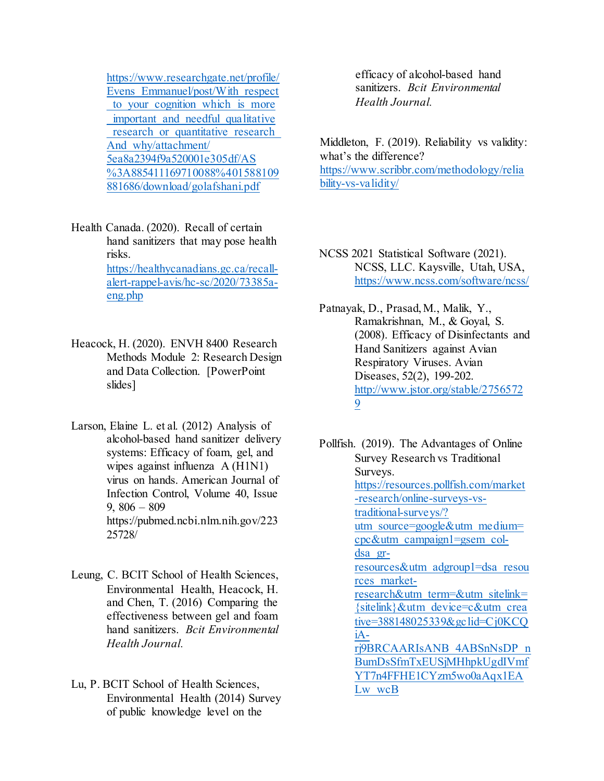[https://www.researchgate.net/profile/](https://www.researchgate.net/profile/Evens_Emmanuel/post/With_respect_to_your_cognition_which_is_more_important_and_needful_qualitative_research_or_quantitative_research_And_why/attachment/5ea8a2394f9a520001e305df/AS%3A885411169710088%401588109881686/download/golafshani.pdf) [Evens\\_Emmanuel/post/With\\_respect](https://www.researchgate.net/profile/Evens_Emmanuel/post/With_respect_to_your_cognition_which_is_more_important_and_needful_qualitative_research_or_quantitative_research_And_why/attachment/5ea8a2394f9a520001e305df/AS%3A885411169710088%401588109881686/download/golafshani.pdf) to your cognition which is more important and needful qualitative research or quantitative research [And\\_why/attachment/](https://www.researchgate.net/profile/Evens_Emmanuel/post/With_respect_to_your_cognition_which_is_more_important_and_needful_qualitative_research_or_quantitative_research_And_why/attachment/5ea8a2394f9a520001e305df/AS%3A885411169710088%401588109881686/download/golafshani.pdf) [5ea8a2394f9a520001e305df/AS](https://www.researchgate.net/profile/Evens_Emmanuel/post/With_respect_to_your_cognition_which_is_more_important_and_needful_qualitative_research_or_quantitative_research_And_why/attachment/5ea8a2394f9a520001e305df/AS%3A885411169710088%401588109881686/download/golafshani.pdf) [%3A885411169710088%401588109](https://www.researchgate.net/profile/Evens_Emmanuel/post/With_respect_to_your_cognition_which_is_more_important_and_needful_qualitative_research_or_quantitative_research_And_why/attachment/5ea8a2394f9a520001e305df/AS%3A885411169710088%401588109881686/download/golafshani.pdf) [881686/download/golafshani.pdf](https://www.researchgate.net/profile/Evens_Emmanuel/post/With_respect_to_your_cognition_which_is_more_important_and_needful_qualitative_research_or_quantitative_research_And_why/attachment/5ea8a2394f9a520001e305df/AS%3A885411169710088%401588109881686/download/golafshani.pdf)

- Health Canada. (2020). Recall of certain hand sanitizers that may pose health risks. [https://healthycanadians.gc.ca/recall](https://healthycanadians.gc.ca/recall-alert-rappel-avis/hc-sc/2020/73385a-eng.php)[alert-rappel-avis/hc-sc/2020/73385a](https://healthycanadians.gc.ca/recall-alert-rappel-avis/hc-sc/2020/73385a-eng.php)[eng.php](https://healthycanadians.gc.ca/recall-alert-rappel-avis/hc-sc/2020/73385a-eng.php)
- Heacock, H. (2020). ENVH 8400 Research Methods Module 2: Research Design and Data Collection. [PowerPoint slides]
- Larson, Elaine L. et al. (2012) Analysis of alcohol-based hand sanitizer delivery systems: Efficacy of foam, gel, and wipes against influenza A (H1N1) virus on hands. American Journal of Infection Control, Volume 40, Issue 9,  $806 - 809$ https://pubmed.ncbi.nlm.nih.gov/223 25728/
- Leung, C. BCIT School of Health Sciences, Environmental Health, Heacock, H. and Chen, T. (2016) Comparing the effectiveness between gel and foam hand sanitizers. *Bcit Environmental Health Journal.*
- Lu, P. BCIT School of Health Sciences, Environmental Health (2014) Survey of public knowledge level on the

efficacy of alcohol-based hand sanitizers. *Bcit Environmental Health Journal.*

Middleton, F. (2019). Reliability vs validity: what's the difference? [https://www.scribbr.com/methodology/relia](https://www.scribbr.com/methodology/reliability-vs-validity/) [bility-vs-validity/](https://www.scribbr.com/methodology/reliability-vs-validity/)

NCSS 2021 Statistical Software (2021). NCSS, LLC. Kaysville, Utah, USA, <https://www.ncss.com/software/ncss/>

Patnayak, D., Prasad, M., Malik, Y., Ramakrishnan, M., & Goyal, S. (2008). Efficacy of Disinfectants and Hand Sanitizers against Avian Respiratory Viruses. Avian Diseases, 52(2), 199-202. [http://www.jstor.org/stable/2756572](http://www.jstor.org/stable/27565729) [9](http://www.jstor.org/stable/27565729)

Pollfish. (2019). The Advantages of Online Survey Research vs Traditional Surveys. [https://resources.pollfish.com/market](https://resources.pollfish.com/market-research/online-surveys-vs-traditional-surveys/?utm_source=google&utm_medium=cpc&utm_campaign1=gsem_col-dsa_gr-resources&utm_adgroup1=dsa_resources_market-research&utm_term&utm_sitelink=%7Bsitelink%7D&utm_device=c&utm_creative=388148025339&gclid=Cj0KCQiA-rj9BRCAARIsANB_4ABSnNsDP_nBumDsSfmTxEUSjMHhpkUgdIVmfYT7n4FFHE1CYzm5wo0aAqx1EALw_wcB) [-research/online-surveys-vs](https://resources.pollfish.com/market-research/online-surveys-vs-traditional-surveys/?utm_source=google&utm_medium=cpc&utm_campaign1=gsem_col-dsa_gr-resources&utm_adgroup1=dsa_resources_market-research&utm_term&utm_sitelink=%7Bsitelink%7D&utm_device=c&utm_creative=388148025339&gclid=Cj0KCQiA-rj9BRCAARIsANB_4ABSnNsDP_nBumDsSfmTxEUSjMHhpkUgdIVmfYT7n4FFHE1CYzm5wo0aAqx1EALw_wcB)[traditional-surveys/?](https://resources.pollfish.com/market-research/online-surveys-vs-traditional-surveys/?utm_source=google&utm_medium=cpc&utm_campaign1=gsem_col-dsa_gr-resources&utm_adgroup1=dsa_resources_market-research&utm_term&utm_sitelink=%7Bsitelink%7D&utm_device=c&utm_creative=388148025339&gclid=Cj0KCQiA-rj9BRCAARIsANB_4ABSnNsDP_nBumDsSfmTxEUSjMHhpkUgdIVmfYT7n4FFHE1CYzm5wo0aAqx1EALw_wcB) [utm\\_source=google&utm\\_medium=](https://resources.pollfish.com/market-research/online-surveys-vs-traditional-surveys/?utm_source=google&utm_medium=cpc&utm_campaign1=gsem_col-dsa_gr-resources&utm_adgroup1=dsa_resources_market-research&utm_term&utm_sitelink=%7Bsitelink%7D&utm_device=c&utm_creative=388148025339&gclid=Cj0KCQiA-rj9BRCAARIsANB_4ABSnNsDP_nBumDsSfmTxEUSjMHhpkUgdIVmfYT7n4FFHE1CYzm5wo0aAqx1EALw_wcB) [cpc&utm\\_campaign1=gsem\\_col](https://resources.pollfish.com/market-research/online-surveys-vs-traditional-surveys/?utm_source=google&utm_medium=cpc&utm_campaign1=gsem_col-dsa_gr-resources&utm_adgroup1=dsa_resources_market-research&utm_term&utm_sitelink=%7Bsitelink%7D&utm_device=c&utm_creative=388148025339&gclid=Cj0KCQiA-rj9BRCAARIsANB_4ABSnNsDP_nBumDsSfmTxEUSjMHhpkUgdIVmfYT7n4FFHE1CYzm5wo0aAqx1EALw_wcB)[dsa\\_gr](https://resources.pollfish.com/market-research/online-surveys-vs-traditional-surveys/?utm_source=google&utm_medium=cpc&utm_campaign1=gsem_col-dsa_gr-resources&utm_adgroup1=dsa_resources_market-research&utm_term&utm_sitelink=%7Bsitelink%7D&utm_device=c&utm_creative=388148025339&gclid=Cj0KCQiA-rj9BRCAARIsANB_4ABSnNsDP_nBumDsSfmTxEUSjMHhpkUgdIVmfYT7n4FFHE1CYzm5wo0aAqx1EALw_wcB)[resources&utm\\_adgroup1=dsa\\_resou](https://resources.pollfish.com/market-research/online-surveys-vs-traditional-surveys/?utm_source=google&utm_medium=cpc&utm_campaign1=gsem_col-dsa_gr-resources&utm_adgroup1=dsa_resources_market-research&utm_term&utm_sitelink=%7Bsitelink%7D&utm_device=c&utm_creative=388148025339&gclid=Cj0KCQiA-rj9BRCAARIsANB_4ABSnNsDP_nBumDsSfmTxEUSjMHhpkUgdIVmfYT7n4FFHE1CYzm5wo0aAqx1EALw_wcB) [rces\\_market](https://resources.pollfish.com/market-research/online-surveys-vs-traditional-surveys/?utm_source=google&utm_medium=cpc&utm_campaign1=gsem_col-dsa_gr-resources&utm_adgroup1=dsa_resources_market-research&utm_term&utm_sitelink=%7Bsitelink%7D&utm_device=c&utm_creative=388148025339&gclid=Cj0KCQiA-rj9BRCAARIsANB_4ABSnNsDP_nBumDsSfmTxEUSjMHhpkUgdIVmfYT7n4FFHE1CYzm5wo0aAqx1EALw_wcB)[research&utm\\_term=&utm\\_sitelink=](https://resources.pollfish.com/market-research/online-surveys-vs-traditional-surveys/?utm_source=google&utm_medium=cpc&utm_campaign1=gsem_col-dsa_gr-resources&utm_adgroup1=dsa_resources_market-research&utm_term&utm_sitelink=%7Bsitelink%7D&utm_device=c&utm_creative=388148025339&gclid=Cj0KCQiA-rj9BRCAARIsANB_4ABSnNsDP_nBumDsSfmTxEUSjMHhpkUgdIVmfYT7n4FFHE1CYzm5wo0aAqx1EALw_wcB) [{sitelink}&utm\\_device=c&utm\\_crea](https://resources.pollfish.com/market-research/online-surveys-vs-traditional-surveys/?utm_source=google&utm_medium=cpc&utm_campaign1=gsem_col-dsa_gr-resources&utm_adgroup1=dsa_resources_market-research&utm_term&utm_sitelink=%7Bsitelink%7D&utm_device=c&utm_creative=388148025339&gclid=Cj0KCQiA-rj9BRCAARIsANB_4ABSnNsDP_nBumDsSfmTxEUSjMHhpkUgdIVmfYT7n4FFHE1CYzm5wo0aAqx1EALw_wcB) [tive=388148025339&gclid=Cj0KCQ](https://resources.pollfish.com/market-research/online-surveys-vs-traditional-surveys/?utm_source=google&utm_medium=cpc&utm_campaign1=gsem_col-dsa_gr-resources&utm_adgroup1=dsa_resources_market-research&utm_term&utm_sitelink=%7Bsitelink%7D&utm_device=c&utm_creative=388148025339&gclid=Cj0KCQiA-rj9BRCAARIsANB_4ABSnNsDP_nBumDsSfmTxEUSjMHhpkUgdIVmfYT7n4FFHE1CYzm5wo0aAqx1EALw_wcB) [iA](https://resources.pollfish.com/market-research/online-surveys-vs-traditional-surveys/?utm_source=google&utm_medium=cpc&utm_campaign1=gsem_col-dsa_gr-resources&utm_adgroup1=dsa_resources_market-research&utm_term&utm_sitelink=%7Bsitelink%7D&utm_device=c&utm_creative=388148025339&gclid=Cj0KCQiA-rj9BRCAARIsANB_4ABSnNsDP_nBumDsSfmTxEUSjMHhpkUgdIVmfYT7n4FFHE1CYzm5wo0aAqx1EALw_wcB)[rj9BRCAARIsANB\\_4ABSnNsDP\\_n](https://resources.pollfish.com/market-research/online-surveys-vs-traditional-surveys/?utm_source=google&utm_medium=cpc&utm_campaign1=gsem_col-dsa_gr-resources&utm_adgroup1=dsa_resources_market-research&utm_term&utm_sitelink=%7Bsitelink%7D&utm_device=c&utm_creative=388148025339&gclid=Cj0KCQiA-rj9BRCAARIsANB_4ABSnNsDP_nBumDsSfmTxEUSjMHhpkUgdIVmfYT7n4FFHE1CYzm5wo0aAqx1EALw_wcB) [BumDsSfmTxEUSjMHhpkUgdIVmf](https://resources.pollfish.com/market-research/online-surveys-vs-traditional-surveys/?utm_source=google&utm_medium=cpc&utm_campaign1=gsem_col-dsa_gr-resources&utm_adgroup1=dsa_resources_market-research&utm_term&utm_sitelink=%7Bsitelink%7D&utm_device=c&utm_creative=388148025339&gclid=Cj0KCQiA-rj9BRCAARIsANB_4ABSnNsDP_nBumDsSfmTxEUSjMHhpkUgdIVmfYT7n4FFHE1CYzm5wo0aAqx1EALw_wcB) [YT7n4FFHE1CYzm5wo0aAqx1EA](https://resources.pollfish.com/market-research/online-surveys-vs-traditional-surveys/?utm_source=google&utm_medium=cpc&utm_campaign1=gsem_col-dsa_gr-resources&utm_adgroup1=dsa_resources_market-research&utm_term&utm_sitelink=%7Bsitelink%7D&utm_device=c&utm_creative=388148025339&gclid=Cj0KCQiA-rj9BRCAARIsANB_4ABSnNsDP_nBumDsSfmTxEUSjMHhpkUgdIVmfYT7n4FFHE1CYzm5wo0aAqx1EALw_wcB) [Lw\\_wcB](https://resources.pollfish.com/market-research/online-surveys-vs-traditional-surveys/?utm_source=google&utm_medium=cpc&utm_campaign1=gsem_col-dsa_gr-resources&utm_adgroup1=dsa_resources_market-research&utm_term&utm_sitelink=%7Bsitelink%7D&utm_device=c&utm_creative=388148025339&gclid=Cj0KCQiA-rj9BRCAARIsANB_4ABSnNsDP_nBumDsSfmTxEUSjMHhpkUgdIVmfYT7n4FFHE1CYzm5wo0aAqx1EALw_wcB)